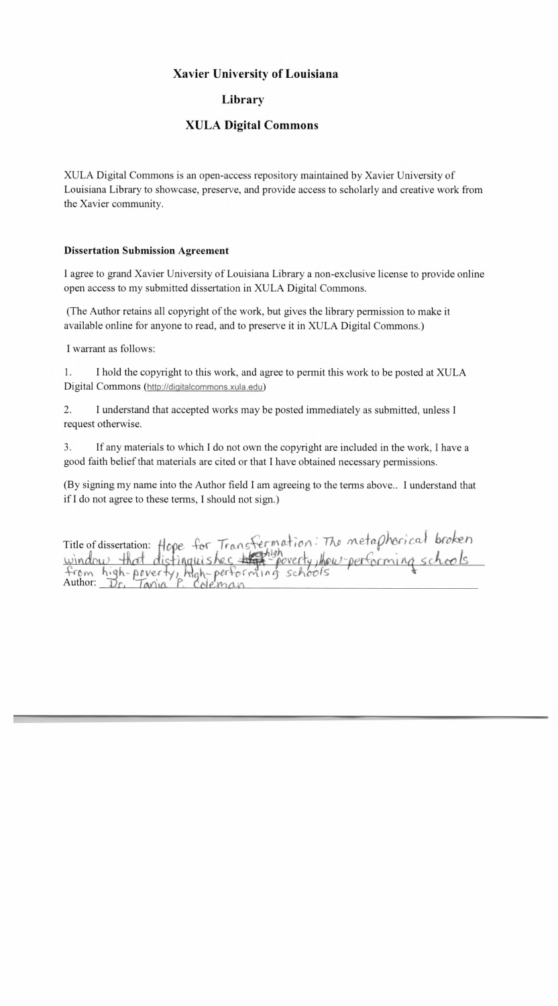## **Xavier University of Louisiana**

## **Library**

## **XULA Digital Commons**

XULA Digital Commons is an open-access repository maintained by Xavier University of Louisiana Library to showcase, preserve, and provide access to scholarly and creative work from the Xavier community.

## **Dissertation Submission Agreement**

I agree to grand Xavier University of Louisiana Library a non-exclusive license to provide online open access to my submitted dissertation in XULA Digital Commons.

(The Author retains all copyright of the work, but gives the library permission to make it available online for anyone to read, and to preserve it in XULA Digital Commons.)

I warrant as follows:

1. I hold the copyright to this work, and agree to permit this work to be posted at XULA Digital Commons ([http://diqitalcommons.xula.edu'\)](http://diqitalcommons.xula.edu)

2. I understand that accepted works may be posted immediately as submitted, unless I request otherwise.

3. If any materials to which I do not own the copyright are included in the work, I have a good faith belief that materials are cited or that I have obtained necessary permissions.

(By signing my name into the Author field I am agreeing to the terms above.. I understand that if I do not agree to these terms, I should not sign.)

Title of dissertation: Hope for Transfermation: The metaphorical broken<br>window that distinguishes the poverty, thew performing schools<br>from high-poverty, high-performing schools